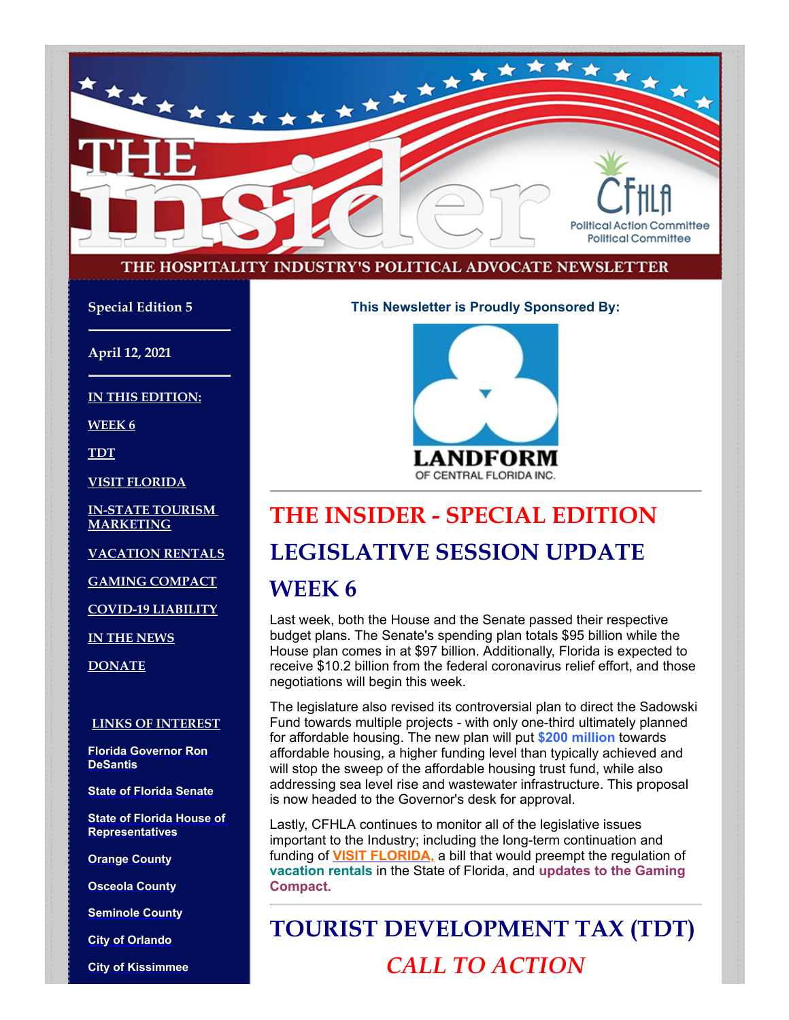

#### THE HOSPITALITY INDUSTRY'S POLITICAL ADVOCATE NEWSLETTER

**Special Edition 5**

**April 12, 2021**

**IN THIS EDITION:**

**WEEK 6**

**TDT**

**VISIT FLORIDA**

**IN-STATE TOURISM MARKETING**

**VACATION RENTALS**

**GAMING COMPACT**

**COVID-19 LIABILITY**

**IN THE NEWS**

**DONATE**

#### **LINKS OF INTEREST**

**[Florida Governor Ron](http://www.flgov.com/) DeSantis**

**[State of Florida Senate](http://www.flsenate.gov/)**

**[State of Florida House of](http://www.myfloridahouse.gov/) Representatives**

**[Orange County](http://www.orangecountyfl.net/)**

**[Osceola County](http://www.osceola.org/)**

**[Seminole County](http://www.seminolecountyfl.gov/)**

**[City of Orlando](http://www.cityoforlando.net/)**

**[City of Kissimmee](http://www.kissimmee.org/)**

**This Newsletter is Proudly Sponsored By:**



# **THE INSIDER - SPECIAL EDITION**

# **LEGISLATIVE SESSION UPDATE**

#### **WEEK 6**

Last week, both the House and the Senate passed their respective budget plans. The Senate's spending plan totals \$95 billion while the House plan comes in at \$97 billion. Additionally, Florida is expected to receive \$10.2 billion from the federal coronavirus relief effort, and those negotiations will begin this week.

The legislature also revised its controversial plan to direct the Sadowski Fund towards multiple projects - with only one-third ultimately planned for affordable housing. The new plan will put **\$200 million** towards affordable housing, a higher funding level than typically achieved and will stop the sweep of the affordable housing trust fund, while also addressing sea level rise and wastewater infrastructure. This proposal is now headed to the Governor's desk for approval.

Lastly, CFHLA continues to monitor all of the legislative issues important to the Industry; including the long-term continuation and funding of **[VISIT FLORIDA,](https://www.visitflorida.com/en-us.html)** a bill that would preempt the regulation of **vacation rentals** in the State of Florida, and **updates to the Gaming Compact.**

**TOURIST DEVELOPMENT TAX (TDT)** *CALL TO ACTION*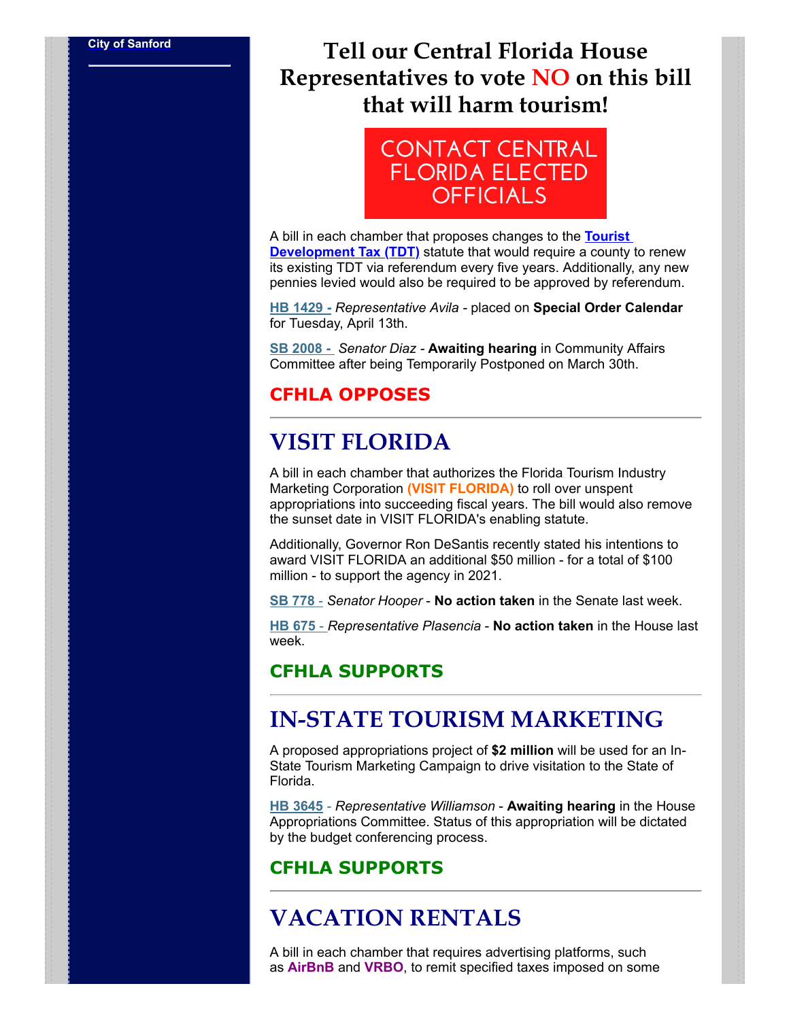# **[City of Sanford](http://www.sanfordfl.gov/) Tell our Central Florida House Representatives to vote NO on this bill that will harm tourism!**



A bill in each chamber that proposes changes to the **Tourist Development Tax (TDT)** statute that would require a county to renew its existing TDT via referendum every five years. Additionally, any new pennies levied would also be required to be approved by referendum.

**HB 1429 -** *Representative Avila -* placed on **Special Order Calendar** for Tuesday, April 13th.

**SB 2008 -** *Senator Diaz -* **Awaiting hearing** in Community Affairs Committee after being Temporarily Postponed on March 30th.

#### **CFHLA OPPOSES**

# **VISIT FLORIDA**

A bill in each chamber that authorizes the Florida Tourism Industry Marketing Corporation **(VISIT FLORIDA)** to roll over unspent appropriations into succeeding fiscal years. The bill would also remove the sunset date in VISIT FLORIDA's enabling statute.

Additionally, Governor Ron DeSantis recently stated his intentions to award VISIT FLORIDA an additional \$50 million - for a total of \$100 million - to support the agency in 2021.

**SB 778** - *Senator Hooper* - **No action taken** in the Senate last week.

**HB 675** - *Representative Plasencia* - **No action taken** in the House last week.

#### **CFHLA SUPPORTS**

## **IN-STATE TOURISM MARKETING**

A proposed appropriations project of **\$2 million** will be used for an In-State Tourism Marketing Campaign to drive visitation to the State of Florida.

**HB 3645** - *Representative Williamson* - **Awaiting hearing** in the House Appropriations Committee. Status of this appropriation will be dictated by the budget conferencing process.

#### **CFHLA SUPPORTS**

# **VACATION RENTALS**

A bill in each chamber that requires advertising platforms, such as **AirBnB** and **VRBO**, to remit specified taxes imposed on some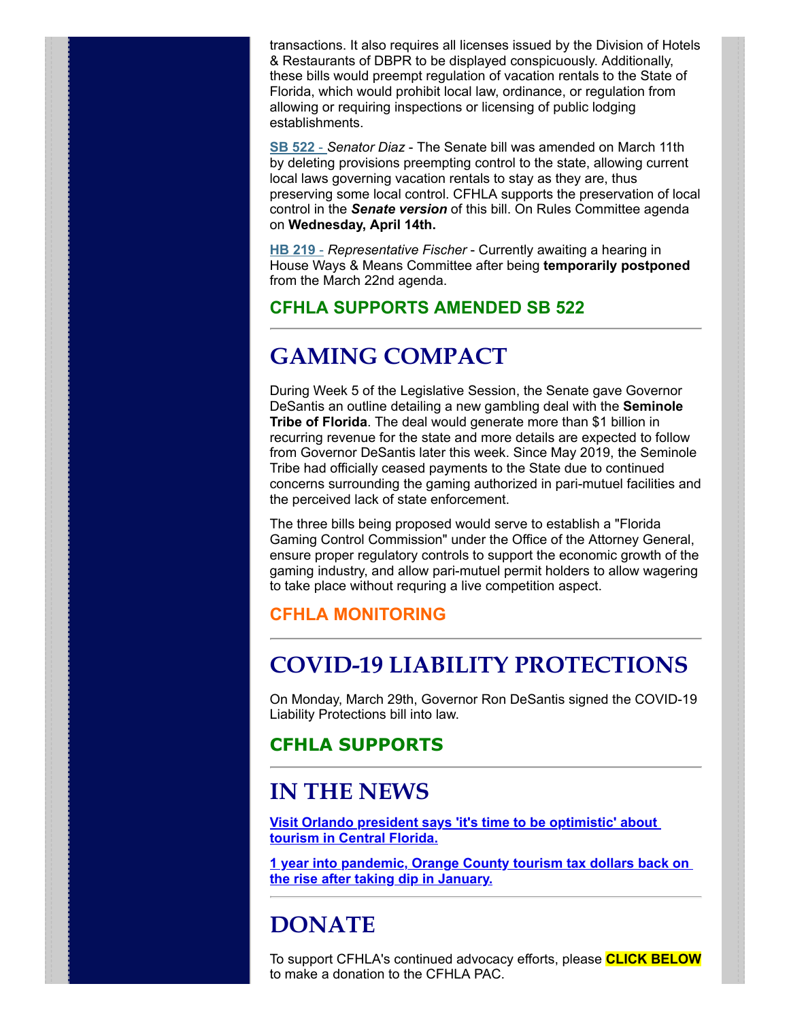transactions. It also requires all licenses issued by the Division of Hotels & Restaurants of DBPR to be displayed conspicuously. Additionally, these bills would preempt regulation of vacation rentals to the State of Florida, which would prohibit local law, ordinance, or regulation from allowing or requiring inspections or licensing of public lodging establishments.

**SB 522** - *Senator Diaz* - The Senate bill was amended on March 11th by deleting provisions preempting control to the state, allowing current local laws governing vacation rentals to stay as they are, thus preserving some local control. CFHLA supports the preservation of local control in the *Senate version* of this bill. On Rules Committee agenda on **Wednesday, April 14th.** 

**HB 219** - *Representative Fischer* - Currently awaiting a hearing in House Ways & Means Committee after being **temporarily postponed** from the March 22nd agenda.

#### **CFHLA SUPPORTS AMENDED SB 522**

# **GAMING COMPACT**

During Week 5 of the Legislative Session, the Senate gave Governor DeSantis an outline detailing a new gambling deal with the **Seminole Tribe of Florida**. The deal would generate more than \$1 billion in recurring revenue for the state and more details are expected to follow from Governor DeSantis later this week. Since May 2019, the Seminole Tribe had officially ceased payments to the State due to continued concerns surrounding the gaming authorized in pari-mutuel facilities and the perceived lack of state enforcement.

The three bills being proposed would serve to establish a "Florida Gaming Control Commission" under the Office of the Attorney General, ensure proper regulatory controls to support the economic growth of the gaming industry, and allow pari-mutuel permit holders to allow wagering to take place without requring a live competition aspect.

#### **CFHLA MONITORING**

# **COVID-19 LIABILITY PROTECTIONS**

On Monday, March 29th, Governor Ron DeSantis signed the COVID-19 Liability Protections bill into law.

#### **CFHLA SUPPORTS**

## **IN THE NEWS**

**[Visit Orlando president says 'it's time to be optimistic' about](https://www.clickorlando.com/news/local/2021/04/06/visit-orlando-president-says-its-time-to-be-optimistic-about-tourism-in-central-florida/) tourism in Central Florida.**

**[1 year into pandemic, Orange County tourism tax dollars back on](https://www.clickorlando.com/news/local/2021/04/08/1-year-into-pandemic-orange-county-tourism-tax-dollars-back-on-the-rise-after-taking-dip-in-january/) the rise after taking dip in January.**

# **DONATE**

To support CFHLA's continued advocacy efforts, please **CLICK BELOW** to make a donation to the CFHLA PAC.